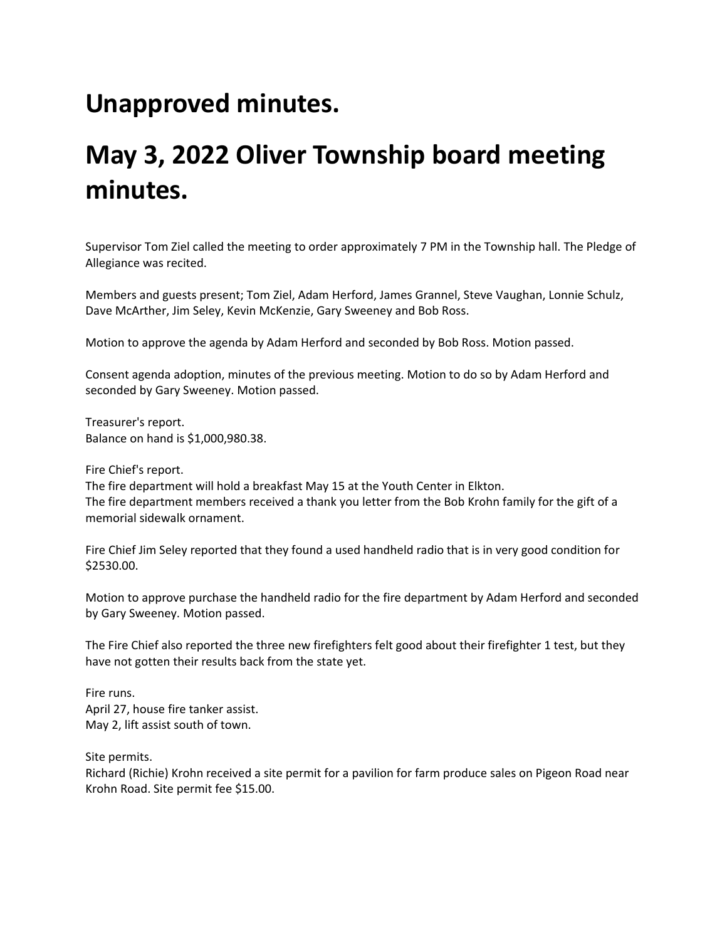## **Unapproved minutes.**

## **May 3, 2022 Oliver Township board meeting minutes.**

Supervisor Tom Ziel called the meeting to order approximately 7 PM in the Township hall. The Pledge of Allegiance was recited.

Members and guests present; Tom Ziel, Adam Herford, James Grannel, Steve Vaughan, Lonnie Schulz, Dave McArther, Jim Seley, Kevin McKenzie, Gary Sweeney and Bob Ross.

Motion to approve the agenda by Adam Herford and seconded by Bob Ross. Motion passed.

Consent agenda adoption, minutes of the previous meeting. Motion to do so by Adam Herford and seconded by Gary Sweeney. Motion passed.

Treasurer's report. Balance on hand is \$1,000,980.38.

Fire Chief's report.

The fire department will hold a breakfast May 15 at the Youth Center in Elkton. The fire department members received a thank you letter from the Bob Krohn family for the gift of a memorial sidewalk ornament.

Fire Chief Jim Seley reported that they found a used handheld radio that is in very good condition for \$2530.00.

Motion to approve purchase the handheld radio for the fire department by Adam Herford and seconded by Gary Sweeney. Motion passed.

The Fire Chief also reported the three new firefighters felt good about their firefighter 1 test, but they have not gotten their results back from the state yet.

Fire runs. April 27, house fire tanker assist. May 2, lift assist south of town.

Site permits.

Richard (Richie) Krohn received a site permit for a pavilion for farm produce sales on Pigeon Road near Krohn Road. Site permit fee \$15.00.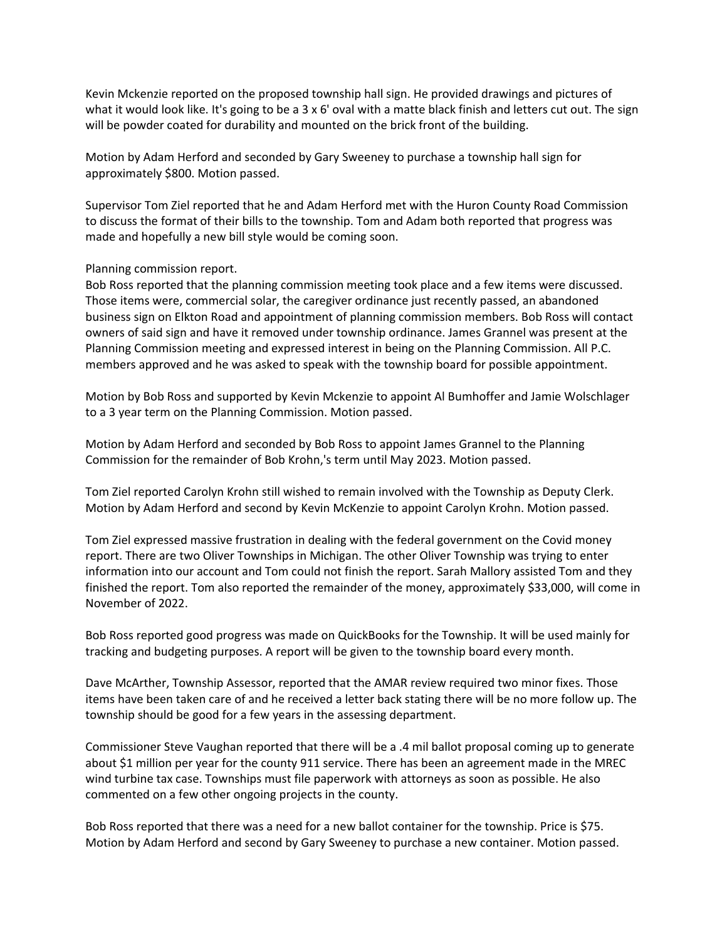Kevin Mckenzie reported on the proposed township hall sign. He provided drawings and pictures of what it would look like. It's going to be a 3 x 6' oval with a matte black finish and letters cut out. The sign will be powder coated for durability and mounted on the brick front of the building.

Motion by Adam Herford and seconded by Gary Sweeney to purchase a township hall sign for approximately \$800. Motion passed.

Supervisor Tom Ziel reported that he and Adam Herford met with the Huron County Road Commission to discuss the format of their bills to the township. Tom and Adam both reported that progress was made and hopefully a new bill style would be coming soon.

## Planning commission report.

Bob Ross reported that the planning commission meeting took place and a few items were discussed. Those items were, commercial solar, the caregiver ordinance just recently passed, an abandoned business sign on Elkton Road and appointment of planning commission members. Bob Ross will contact owners of said sign and have it removed under township ordinance. James Grannel was present at the Planning Commission meeting and expressed interest in being on the Planning Commission. All P.C. members approved and he was asked to speak with the township board for possible appointment.

Motion by Bob Ross and supported by Kevin Mckenzie to appoint Al Bumhoffer and Jamie Wolschlager to a 3 year term on the Planning Commission. Motion passed.

Motion by Adam Herford and seconded by Bob Ross to appoint James Grannel to the Planning Commission for the remainder of Bob Krohn,'s term until May 2023. Motion passed.

Tom Ziel reported Carolyn Krohn still wished to remain involved with the Township as Deputy Clerk. Motion by Adam Herford and second by Kevin McKenzie to appoint Carolyn Krohn. Motion passed.

Tom Ziel expressed massive frustration in dealing with the federal government on the Covid money report. There are two Oliver Townships in Michigan. The other Oliver Township was trying to enter information into our account and Tom could not finish the report. Sarah Mallory assisted Tom and they finished the report. Tom also reported the remainder of the money, approximately \$33,000, will come in November of 2022.

Bob Ross reported good progress was made on QuickBooks for the Township. It will be used mainly for tracking and budgeting purposes. A report will be given to the township board every month.

Dave McArther, Township Assessor, reported that the AMAR review required two minor fixes. Those items have been taken care of and he received a letter back stating there will be no more follow up. The township should be good for a few years in the assessing department.

Commissioner Steve Vaughan reported that there will be a .4 mil ballot proposal coming up to generate about \$1 million per year for the county 911 service. There has been an agreement made in the MREC wind turbine tax case. Townships must file paperwork with attorneys as soon as possible. He also commented on a few other ongoing projects in the county.

Bob Ross reported that there was a need for a new ballot container for the township. Price is \$75. Motion by Adam Herford and second by Gary Sweeney to purchase a new container. Motion passed.